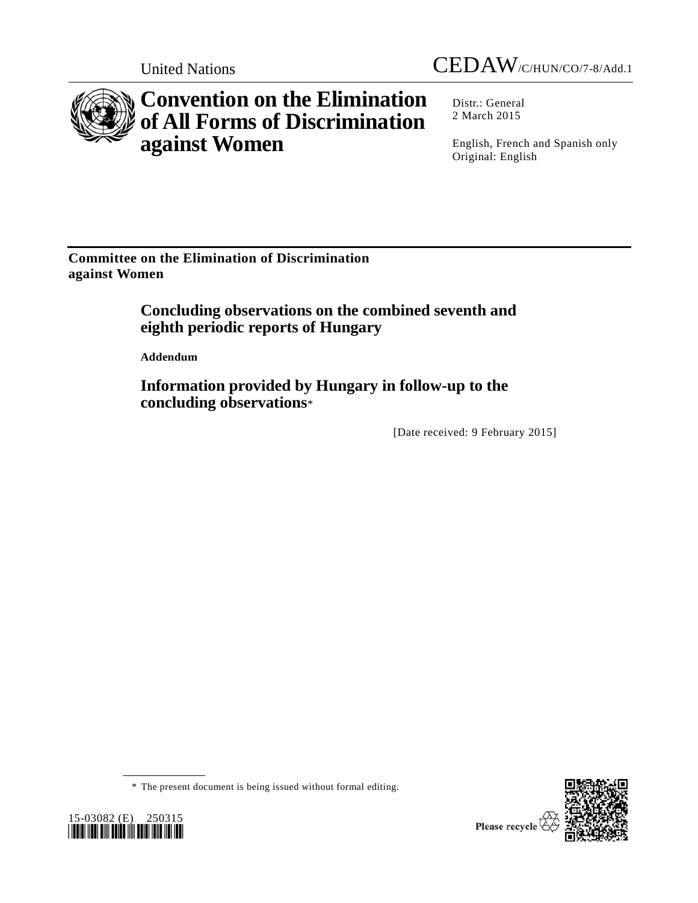

## **Convention on the Elimination of All Forms of Discrimination against Women**

Distr.: General 2 March 2015

English, French and Spanish only Original: English

**Committee on the Elimination of Discrimination against Women**

## **Concluding observations on the combined seventh and eighth periodic reports of Hungary**

**Addendum**

**Information provided by Hungary in follow-up to the concluding observations**\*

[Date received: 9 February 2015]





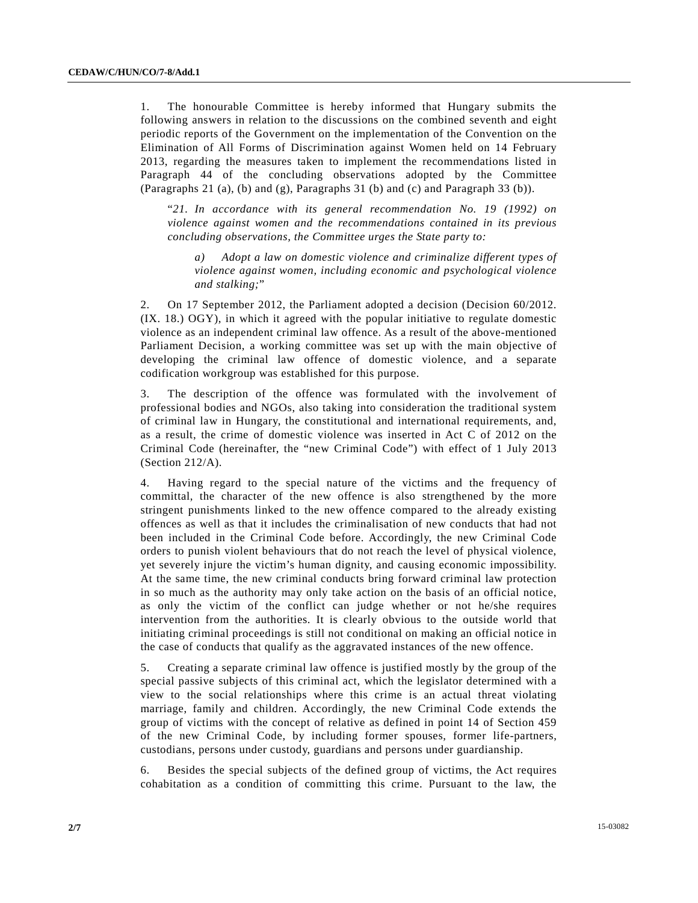1. The honourable Committee is hereby informed that Hungary submits the following answers in relation to the discussions on the combined seventh and eight periodic reports of the Government on the implementation of the Convention on the Elimination of All Forms of Discrimination against Women held on 14 February 2013, regarding the measures taken to implement the recommendations listed in Paragraph 44 of the concluding observations adopted by the Committee (Paragraphs 21 (a), (b) and (g), Paragraphs 31 (b) and (c) and Paragraph 33 (b)).

"*21. In accordance with its general recommendation No. 19 (1992) on violence against women and the recommendations contained in its previous concluding observations, the Committee urges the State party to:* 

*a) Adopt a law on domestic violence and criminalize different types of violence against women, including economic and psychological violence and stalking;*"

2. On 17 September 2012, the Parliament adopted a decision (Decision 60/2012. (IX. 18.) OGY), in which it agreed with the popular initiative to regulate domestic violence as an independent criminal law offence. As a result of the above-mentioned Parliament Decision, a working committee was set up with the main objective of developing the criminal law offence of domestic violence, and a separate codification workgroup was established for this purpose.

3. The description of the offence was formulated with the involvement of professional bodies and NGOs, also taking into consideration the traditional system of criminal law in Hungary, the constitutional and international requirements, and, as a result, the crime of domestic violence was inserted in Act C of 2012 on the Criminal Code (hereinafter, the "new Criminal Code") with effect of 1 July 2013 (Section 212/A).

4. Having regard to the special nature of the victims and the frequency of committal, the character of the new offence is also strengthened by the more stringent punishments linked to the new offence compared to the already existing offences as well as that it includes the criminalisation of new conducts that had not been included in the Criminal Code before. Accordingly, the new Criminal Code orders to punish violent behaviours that do not reach the level of physical violence, yet severely injure the victim's human dignity, and causing economic impossibility. At the same time, the new criminal conducts bring forward criminal law protection in so much as the authority may only take action on the basis of an official notice, as only the victim of the conflict can judge whether or not he/she requires intervention from the authorities. It is clearly obvious to the outside world that initiating criminal proceedings is still not conditional on making an official notice in the case of conducts that qualify as the aggravated instances of the new offence.

5. Creating a separate criminal law offence is justified mostly by the group of the special passive subjects of this criminal act, which the legislator determined with a view to the social relationships where this crime is an actual threat violating marriage, family and children. Accordingly, the new Criminal Code extends the group of victims with the concept of relative as defined in point 14 of Section 459 of the new Criminal Code, by including former spouses, former life-partners, custodians, persons under custody, guardians and persons under guardianship.

6. Besides the special subjects of the defined group of victims, the Act requires cohabitation as a condition of committing this crime. Pursuant to the law, the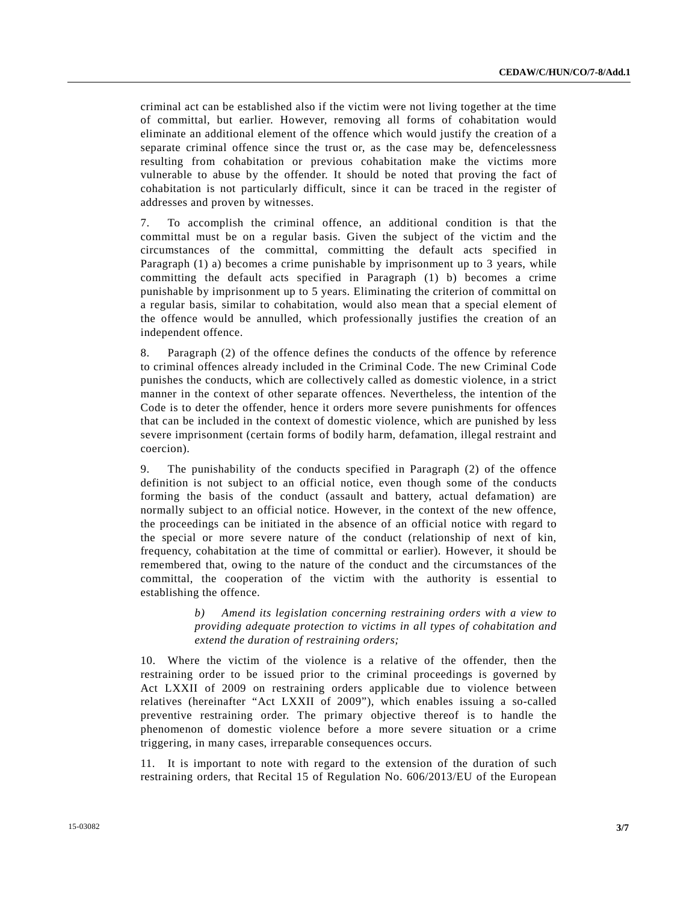criminal act can be established also if the victim were not living together at the time of committal, but earlier. However, removing all forms of cohabitation would eliminate an additional element of the offence which would justify the creation of a separate criminal offence since the trust or, as the case may be, defencelessness resulting from cohabitation or previous cohabitation make the victims more vulnerable to abuse by the offender. It should be noted that proving the fact of cohabitation is not particularly difficult, since it can be traced in the register of addresses and proven by witnesses.

7. To accomplish the criminal offence, an additional condition is that the committal must be on a regular basis. Given the subject of the victim and the circumstances of the committal, committing the default acts specified in Paragraph (1) a) becomes a crime punishable by imprisonment up to 3 years, while committing the default acts specified in Paragraph (1) b) becomes a crime punishable by imprisonment up to 5 years. Eliminating the criterion of committal on a regular basis, similar to cohabitation, would also mean that a special element of the offence would be annulled, which professionally justifies the creation of an independent offence.

8. Paragraph (2) of the offence defines the conducts of the offence by reference to criminal offences already included in the Criminal Code. The new Criminal Code punishes the conducts, which are collectively called as domestic violence, in a strict manner in the context of other separate offences. Nevertheless, the intention of the Code is to deter the offender, hence it orders more severe punishments for offences that can be included in the context of domestic violence, which are punished by less severe imprisonment (certain forms of bodily harm, defamation, illegal restraint and coercion).

9. The punishability of the conducts specified in Paragraph (2) of the offence definition is not subject to an official notice, even though some of the conducts forming the basis of the conduct (assault and battery, actual defamation) are normally subject to an official notice. However, in the context of the new offence, the proceedings can be initiated in the absence of an official notice with regard to the special or more severe nature of the conduct (relationship of next of kin, frequency, cohabitation at the time of committal or earlier). However, it should be remembered that, owing to the nature of the conduct and the circumstances of the committal, the cooperation of the victim with the authority is essential to establishing the offence.

> *b) Amend its legislation concerning restraining orders with a view to providing adequate protection to victims in all types of cohabitation and extend the duration of restraining orders;*

10. Where the victim of the violence is a relative of the offender, then the restraining order to be issued prior to the criminal proceedings is governed by Act LXXII of 2009 on restraining orders applicable due to violence between relatives (hereinafter "Act LXXII of 2009"), which enables issuing a so-called preventive restraining order. The primary objective thereof is to handle the phenomenon of domestic violence before a more severe situation or a crime triggering, in many cases, irreparable consequences occurs.

11. It is important to note with regard to the extension of the duration of such restraining orders, that Recital 15 of Regulation No. 606/2013/EU of the European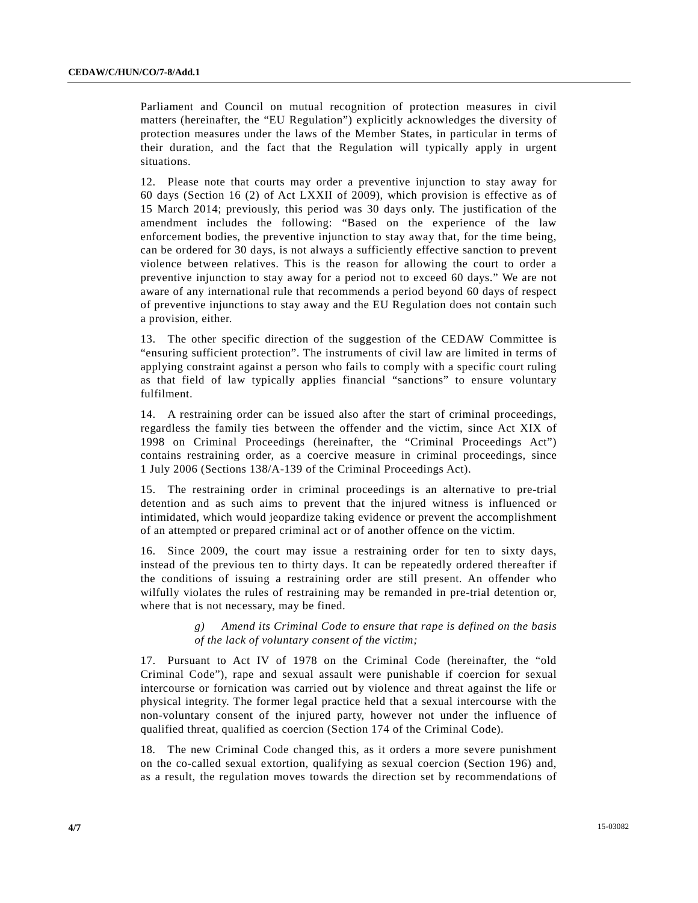Parliament and Council on mutual recognition of protection measures in civil matters (hereinafter, the "EU Regulation") explicitly acknowledges the diversity of protection measures under the laws of the Member States, in particular in terms of their duration, and the fact that the Regulation will typically apply in urgent situations.

12. Please note that courts may order a preventive injunction to stay away for 60 days (Section 16 (2) of Act LXXII of 2009), which provision is effective as of 15 March 2014; previously, this period was 30 days only. The justification of the amendment includes the following: "Based on the experience of the law enforcement bodies, the preventive injunction to stay away that, for the time being, can be ordered for 30 days, is not always a sufficiently effective sanction to prevent violence between relatives. This is the reason for allowing the court to order a preventive injunction to stay away for a period not to exceed 60 days." We are not aware of any international rule that recommends a period beyond 60 days of respect of preventive injunctions to stay away and the EU Regulation does not contain such a provision, either.

13. The other specific direction of the suggestion of the CEDAW Committee is "ensuring sufficient protection". The instruments of civil law are limited in terms of applying constraint against a person who fails to comply with a specific court ruling as that field of law typically applies financial "sanctions" to ensure voluntary fulfilment.

14. A restraining order can be issued also after the start of criminal proceedings, regardless the family ties between the offender and the victim, since Act XIX of 1998 on Criminal Proceedings (hereinafter, the "Criminal Proceedings Act") contains restraining order, as a coercive measure in criminal proceedings, since 1 July 2006 (Sections 138/A-139 of the Criminal Proceedings Act).

15. The restraining order in criminal proceedings is an alternative to pre-trial detention and as such aims to prevent that the injured witness is influenced or intimidated, which would jeopardize taking evidence or prevent the accomplishment of an attempted or prepared criminal act or of another offence on the victim.

16. Since 2009, the court may issue a restraining order for ten to sixty days, instead of the previous ten to thirty days. It can be repeatedly ordered thereafter if the conditions of issuing a restraining order are still present. An offender who wilfully violates the rules of restraining may be remanded in pre-trial detention or, where that is not necessary, may be fined.

> *g) Amend its Criminal Code to ensure that rape is defined on the basis of the lack of voluntary consent of the victim;*

17. Pursuant to Act IV of 1978 on the Criminal Code (hereinafter, the "old Criminal Code"), rape and sexual assault were punishable if coercion for sexual intercourse or fornication was carried out by violence and threat against the life or physical integrity. The former legal practice held that a sexual intercourse with the non-voluntary consent of the injured party, however not under the influence of qualified threat, qualified as coercion (Section 174 of the Criminal Code).

18. The new Criminal Code changed this, as it orders a more severe punishment on the co-called sexual extortion, qualifying as sexual coercion (Section 196) and, as a result, the regulation moves towards the direction set by recommendations of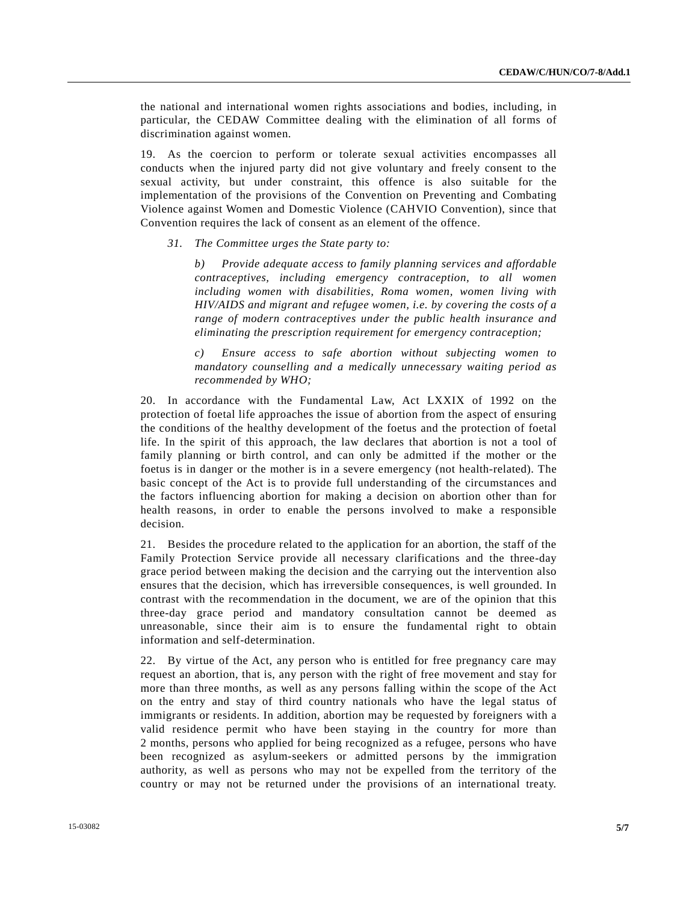the national and international women rights associations and bodies, including, in particular, the CEDAW Committee dealing with the elimination of all forms of discrimination against women.

19. As the coercion to perform or tolerate sexual activities encompasses all conducts when the injured party did not give voluntary and freely consent to the sexual activity, but under constraint, this offence is also suitable for the implementation of the provisions of the Convention on Preventing and Combating Violence against Women and Domestic Violence (CAHVIO Convention), since that Convention requires the lack of consent as an element of the offence.

*31. The Committee urges the State party to:* 

*b) Provide adequate access to family planning services and affordable contraceptives, including emergency contraception, to all women including women with disabilities, Roma women, women living with HIV/AIDS and migrant and refugee women, i.e. by covering the costs of a range of modern contraceptives under the public health insurance and eliminating the prescription requirement for emergency contraception;* 

*c) Ensure access to safe abortion without subjecting women to mandatory counselling and a medically unnecessary waiting period as recommended by WHO;*

20. In accordance with the Fundamental Law, Act LXXIX of 1992 on the protection of foetal life approaches the issue of abortion from the aspect of ensuring the conditions of the healthy development of the foetus and the protection of foetal life. In the spirit of this approach, the law declares that abortion is not a tool of family planning or birth control, and can only be admitted if the mother or the foetus is in danger or the mother is in a severe emergency (not health-related). The basic concept of the Act is to provide full understanding of the circumstances and the factors influencing abortion for making a decision on abortion other than for health reasons, in order to enable the persons involved to make a responsible decision.

21. Besides the procedure related to the application for an abortion, the staff of the Family Protection Service provide all necessary clarifications and the three-day grace period between making the decision and the carrying out the intervention also ensures that the decision, which has irreversible consequences, is well grounded. In contrast with the recommendation in the document, we are of the opinion that this three-day grace period and mandatory consultation cannot be deemed as unreasonable, since their aim is to ensure the fundamental right to obtain information and self-determination.

22. By virtue of the Act, any person who is entitled for free pregnancy care may request an abortion, that is, any person with the right of free movement and stay for more than three months, as well as any persons falling within the scope of the Act on the entry and stay of third country nationals who have the legal status of immigrants or residents. In addition, abortion may be requested by foreigners with a valid residence permit who have been staying in the country for more than 2 months, persons who applied for being recognized as a refugee, persons who have been recognized as asylum-seekers or admitted persons by the immigration authority, as well as persons who may not be expelled from the territory of the country or may not be returned under the provisions of an international treaty.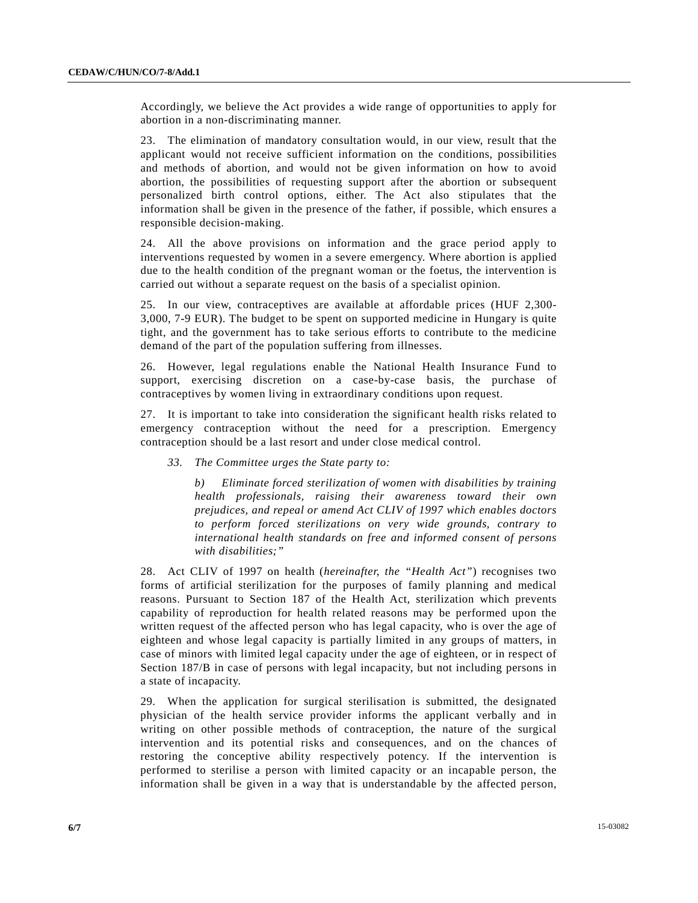Accordingly, we believe the Act provides a wide range of opportunities to apply for abortion in a non-discriminating manner.

23. The elimination of mandatory consultation would, in our view, result that the applicant would not receive sufficient information on the conditions, possibilities and methods of abortion, and would not be given information on how to avoid abortion, the possibilities of requesting support after the abortion or subsequent personalized birth control options, either. The Act also stipulates that the information shall be given in the presence of the father, if possible, which ensures a responsible decision-making.

24. All the above provisions on information and the grace period apply to interventions requested by women in a severe emergency. Where abortion is applied due to the health condition of the pregnant woman or the foetus, the intervention is carried out without a separate request on the basis of a specialist opinion.

25. In our view, contraceptives are available at affordable prices (HUF 2,300- 3,000, 7-9 EUR). The budget to be spent on supported medicine in Hungary is quite tight, and the government has to take serious efforts to contribute to the medicine demand of the part of the population suffering from illnesses.

26. However, legal regulations enable the National Health Insurance Fund to support, exercising discretion on a case-by-case basis, the purchase of contraceptives by women living in extraordinary conditions upon request.

27. It is important to take into consideration the significant health risks related to emergency contraception without the need for a prescription. Emergency contraception should be a last resort and under close medical control.

## *33. The Committee urges the State party to:*

*b) Eliminate forced sterilization of women with disabilities by training health professionals, raising their awareness toward their own prejudices, and repeal or amend Act CLIV of 1997 which enables doctors to perform forced sterilizations on very wide grounds, contrary to international health standards on free and informed consent of persons with disabilities;"*

28. Act CLIV of 1997 on health (*hereinafter, the "Health Act"*) recognises two forms of artificial sterilization for the purposes of family planning and medical reasons. Pursuant to Section 187 of the Health Act, sterilization which prevents capability of reproduction for health related reasons may be performed upon the written request of the affected person who has legal capacity, who is over the age of eighteen and whose legal capacity is partially limited in any groups of matters, in case of minors with limited legal capacity under the age of eighteen, or in respect of Section 187/B in case of persons with legal incapacity, but not including persons in a state of incapacity.

29. When the application for surgical sterilisation is submitted, the designated physician of the health service provider informs the applicant verbally and in writing on other possible methods of contraception, the nature of the surgical intervention and its potential risks and consequences, and on the chances of restoring the conceptive ability respectively potency. If the intervention is performed to sterilise a person with limited capacity or an incapable person, the information shall be given in a way that is understandable by the affected person,